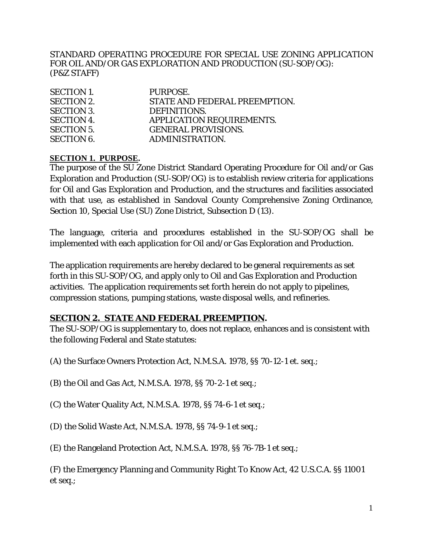STANDARD OPERATING PROCEDURE FOR SPECIAL USE ZONING APPLICATION FOR OIL AND/OR GAS EXPLORATION AND PRODUCTION (SU-SOP/OG): (P&Z STAFF)

| <b>SECTION 1.</b> | PURPOSE.                         |
|-------------------|----------------------------------|
| <b>SECTION 2.</b> | STATE AND FEDERAL PREEMPTION.    |
| <b>SECTION 3.</b> | DEFINITIONS.                     |
| <b>SECTION 4.</b> | <b>APPLICATION REQUIREMENTS.</b> |
| <b>SECTION 5.</b> | <b>GENERAL PROVISIONS.</b>       |
| <b>SECTION 6.</b> | ADMINISTRATION.                  |

#### **SECTION 1. PURPOSE.**

The purpose of the SU Zone District Standard Operating Procedure for Oil and/or Gas Exploration and Production (SU-SOP/OG) is to establish review criteria for applications for Oil and Gas Exploration and Production, and the structures and facilities associated with that use, as established in Sandoval County Comprehensive Zoning Ordinance, Section 10, Special Use (SU) Zone District, Subsection D (13).

The language, criteria and procedures established in the SU-SOP/OG shall be implemented with each application for Oil and/or Gas Exploration and Production.

The application requirements are hereby declared to be general requirements as set forth in this SU-SOP/OG, and apply only to Oil and Gas Exploration and Production activities. The application requirements set forth herein do not apply to pipelines, compression stations, pumping stations, waste disposal wells, and refineries.

#### **SECTION 2. STATE AND FEDERAL PREEMPTION.**

The SU-SOP/OG is supplementary to, does not replace, enhances and is consistent with the following Federal and State statutes:

- (A) the Surface Owners Protection Act, N.M.S.A. 1978, §§ 70-12-1 et. seq.;
- (B) the Oil and Gas Act, N.M.S.A. 1978, §§ 70-2-1 et seq.;
- (C) the Water Quality Act, N.M.S.A. 1978, §§ 74-6-1 et seq.;
- (D) the Solid Waste Act, N.M.S.A. 1978, §§ 74-9-1 et seq.;
- (E) the Rangeland Protection Act, N.M.S.A. 1978, §§ 76-7B-1 et seq.;

(F) the Emergency Planning and Community Right To Know Act, 42 U.S.C.A. §§ 11001 et seq.;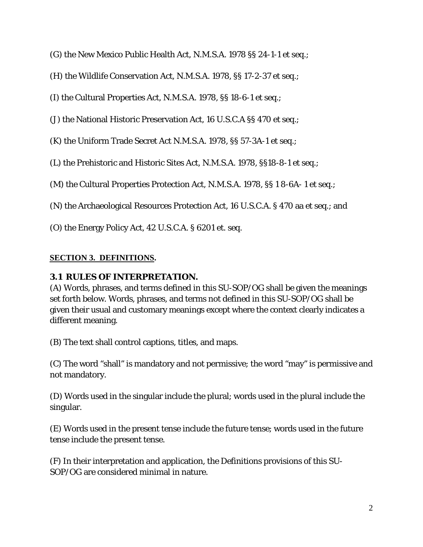- (G) the New Mexico Public Health Act, N.M.S.A. 1978 §§ 24-1-1 et seq.;
- (H) the Wildlife Conservation Act, N.M.S.A. 1978, §§ 17-2-37 et seq.;
- (I) the Cultural Properties Act, N.M.S.A. 1978, §§ 18-6-1 et seq.;
- (J) the National Historic Preservation Act, 16 U.S.C.A §§ 470 et seq.;
- (K) the Uniform Trade Secret Act N.M.S.A. 1978, §§ 57-3A-1 et seq.;
- (L) the Prehistoric and Historic Sites Act, N.M.S.A. 1978, §§18-8-1 et seq.;
- (M) the Cultural Properties Protection Act, N.M.S.A. 1978, §§ 1 8-6A- 1 et seq.;
- (N) the Archaeological Resources Protection Act, 16 U.S.C.A. § 470 aa et seq.; and
- (O) the Energy Policy Act, 42 U.S.C.A. § 6201 et. seq.

## **SECTION 3. DEFINITIONS.**

#### **3.1 RULES OF INTERPRETATION.**

(A) Words, phrases, and terms defined in this SU-SOP/OG shall be given the meanings set forth below. Words, phrases, and terms not defined in this SU-SOP/OG shall be given their usual and customary meanings except where the context clearly indicates a different meaning.

(B) The text shall control captions, titles, and maps.

(C) The word "shall" is mandatory and not permissive; the word "may" is permissive and not mandatory.

(D) Words used in the singular include the plural; words used in the plural include the singular.

(E) Words used in the present tense include the future tense; words used in the future tense include the present tense.

(F) In their interpretation and application, the Definitions provisions of this SU-SOP/OG are considered minimal in nature.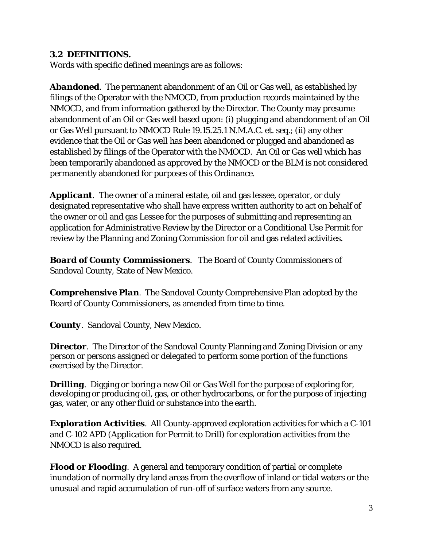### **3.2 DEFINITIONS.**

Words with specific defined meanings are as follows:

*Abandoned.* The permanent abandonment of an Oil or Gas well, as established by filings of the Operator with the NMOCD, from production records maintained by the NMOCD, and from information gathered by the Director. The County may presume abandonment of an Oil or Gas well based upon: (i) plugging and abandonment of an Oil or Gas Well pursuant to NMOCD Rule 19.15.25.1 N.M.A.C. et. seq.; (ii) any other evidence that the Oil or Gas well has been abandoned or plugged and abandoned as established by filings of the Operator with the NMOCD. An Oil or Gas well which has been temporarily abandoned as approved by the NMOCD or the BLM is not considered permanently abandoned for purposes of this Ordinance.

*Applicant.* The owner of a mineral estate, oil and gas lessee, operator, or duly designated representative who shall have express written authority to act on behalf of the owner or oil and gas Lessee for the purposes of submitting and representing an application for Administrative Review by the Director or a Conditional Use Permit for review by the Planning and Zoning Commission for oil and gas related activities.

*Board of County Commissioners.* The Board of County Commissioners of Sandoval County, State of New Mexico.

*Comprehensive Plan.* The Sandoval County Comprehensive Plan adopted by the Board of County Commissioners, as amended from time to time.

*County.* Sandoval County, New Mexico.

**Director**. The Director of the Sandoval County Planning and Zoning Division or any person or persons assigned or delegated to perform some portion of the functions exercised by the Director.

*Drilling.* Digging or boring a new Oil or Gas Well for the purpose of exploring for, developing or producing oil, gas, or other hydrocarbons, or for the purpose of injecting gas, water, or any other fluid or substance into the earth.

*Exploration Activities.* All County-approved exploration activities for which a C-101 and C-102 APD (Application for Permit to Drill) for exploration activities from the NMOCD is also required.

*Flood or Flooding.* A general and temporary condition of partial or complete inundation of normally dry land areas from the overflow of inland or tidal waters or the unusual and rapid accumulation of run-off of surface waters from any source.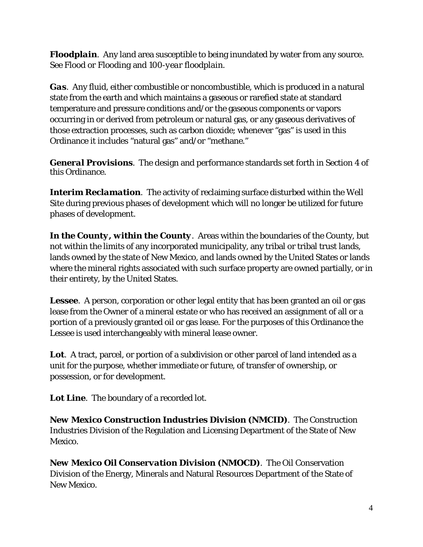*Floodplain.* Any land area susceptible to being inundated by water from any source. See *Flood or Flooding* and *100-year floodplain.*

*Gas.* Any fluid, either combustible or noncombustible, which is produced in a natural state from the earth and which maintains a gaseous or rarefied state at standard temperature and pressure conditions and/or the gaseous components or vapors occurring in or derived from petroleum or natural gas, or any gaseous derivatives of those extraction processes, such as carbon dioxide; whenever "gas" is used in this Ordinance it includes "natural gas" and/or "methane."

*General Provisions.* The design and performance standards set forth in Section 4 of this Ordinance.

**Interim Reclamation**. The activity of reclaiming surface disturbed within the Well Site during previous phases of development which will no longer be utilized for future phases of development.

In the County, within the County. Areas within the boundaries of the County, but not within the limits of any incorporated municipality, any tribal or tribal trust lands, lands owned by the state of New Mexico, and lands owned by the United States or lands where the mineral rights associated with such surface property are owned partially, or in their entirety, by the United States.

*Lessee.* A person, corporation or other legal entity that has been granted an oil or gas lease from the Owner of a mineral estate or who has received an assignment of all or a portion of a previously granted oil or gas lease. For the purposes of this Ordinance the Lessee is used interchangeably with mineral lease owner.

Lot. A tract, parcel, or portion of a subdivision or other parcel of land intended as a unit for the purpose, whether immediate or future, of transfer of ownership, or possession, or for development.

*Lot Line.* The boundary of a recorded lot.

*New Mexico Construction Industries Division (NMCID).* The Construction Industries Division of the Regulation and Licensing Department of the State of New Mexico.

*New Mexico Oil Conservation Division (NMOCD).* The Oil Conservation Division of the Energy, Minerals and Natural Resources Department of the State of New Mexico.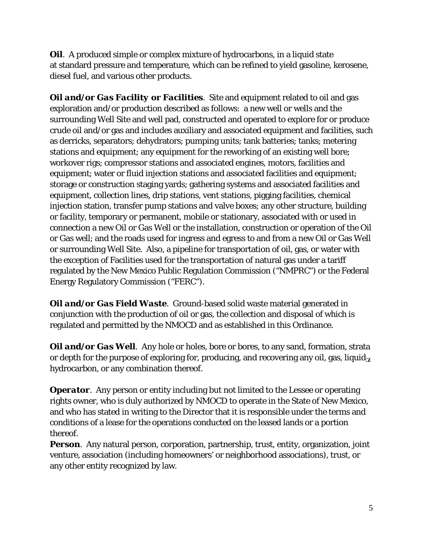*Oil.* A produced simple or complex mixture of hydrocarbons, in a liquid state at standard pressure and temperature, which can be refined to yield gasoline, kerosene, diesel fuel, and various other products.

*Oil and/or Gas Facility or Facilities*. Site and equipment related to oil and gas exploration and/or production described as follows: a new well or wells and the surrounding Well Site and well pad, constructed and operated to explore for or produce crude oil and/or gas and includes auxiliary and associated equipment and facilities, such as derricks, separators; dehydrators; pumping units; tank batteries; tanks; metering stations and equipment; any equipment for the reworking of an existing well bore; workover rigs; compressor stations and associated engines, motors, facilities and equipment; water or fluid injection stations and associated facilities and equipment; storage or construction staging yards; gathering systems and associated facilities and equipment, collection lines, drip stations, vent stations, pigging facilities, chemical injection station, transfer pump stations and valve boxes; any other structure, building or facility, temporary or permanent, mobile or stationary, associated with or used in connection a new Oil or Gas Well or the installation, construction or operation of the Oil or Gas well; and the roads used for ingress and egress to and from a new Oil or Gas Well or surrounding Well Site. Also, a pipeline for transportation of oil, gas, or water with the exception of Facilities used for the transportation of natural gas under a tariff regulated by the New Mexico Public Regulation Commission ("NMPRC") or the Federal Energy Regulatory Commission ("FERC").

*Oil and/or Gas Field Waste*. Ground-based solid waste material generated in conjunction with the production of oil or gas, the collection and disposal of which is regulated and permitted by the NMOCD and as established in this Ordinance.

*Oil and/or Gas Well.* Any hole or holes, bore or bores, to any sand, formation, strata or depth for the purpose of exploring for, producing, and recovering any oil, gas, liquidhydrocarbon, or any combination thereof.

*Operator.* Any person or entity including but not limited to the Lessee or operating rights owner, who is duly authorized by NMOCD to operate in the State of New Mexico, and who has stated in writing to the Director that it is responsible under the terms and conditions of a lease for the operations conducted on the leased lands or a portion thereof.

**Person**. Any natural person, corporation, partnership, trust, entity, organization, joint venture, association (including homeowners' or neighborhood associations), trust, or any other entity recognized by law.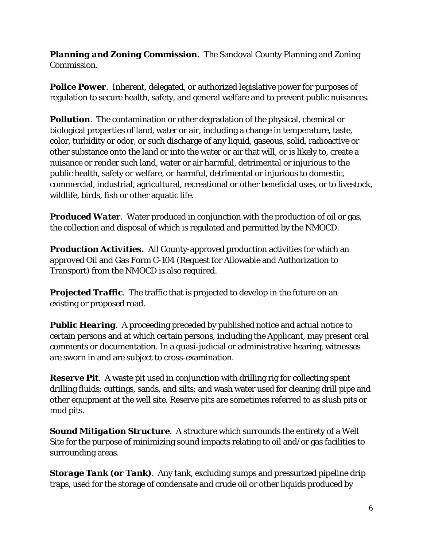*Planning and Zoning Commission.* The Sandoval County Planning and Zoning Commission.

**Police Power**. Inherent, delegated, or authorized legislative power for purposes of regulation to secure health, safety, and general welfare and to prevent public nuisances.

**Pollution**. The contamination or other degradation of the physical, chemical or biological properties of land, water or air, including a change in temperature, taste, color, turbidity or odor, or such discharge of any liquid, gaseous, solid, radioactive or other substance onto the land or into the water or air that will, or is likely to, create a nuisance or render such land, water or air harmful, detrimental or injurious to the public health, safety or welfare, or harmful, detrimental or injurious to domestic, commercial, industrial, agricultural, recreational or other beneficial uses, or to livestock, wildlife, birds, fish or other aquatic life.

*Produced Water.* Water produced in conjunction with the production of oil or gas, the collection and disposal of which is regulated and permitted by the NMOCD.

*Production Activities.* All County-approved production activities for which an approved Oil and Gas Form C-104 (Request for Allowable and Authorization to Transport) from the NMOCD is also required.

**Projected Traffic**. The traffic that is projected to develop in the future on an existing or proposed road.

**Public Hearing**. A proceeding preceded by published notice and actual notice to certain persons and at which certain persons, including the Applicant, may present oral comments or documentation. In a quasi-judicial or administrative hearing, witnesses are sworn in and are subject to cross-examination.

*Reserve Pit.* A waste pit used in conjunction with drilling rig for collecting spent drilling fluids; cuttings, sands, and silts; and wash water used for cleaning drill pipe and other equipment at the well site. Reserve pits are sometimes referred to as slush pits or mud pits.

*Sound Mitigation Structure*. A structure which surrounds the entirety of a Well Site for the purpose of minimizing sound impacts relating to oil and/or gas facilities to surrounding areas.

*Storage Tank (or Tank).* Any tank, excluding sumps and pressurized pipeline drip traps, used for the storage of condensate and crude oil or other liquids produced by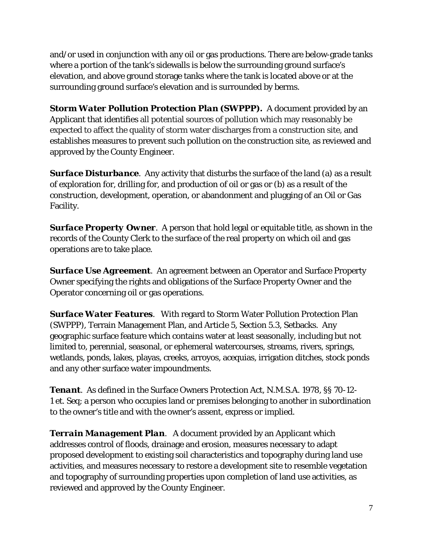and/or used in conjunction with any oil or gas productions. There are below-grade tanks where a portion of the tank's sidewalls is below the surrounding ground surface's elevation, and above ground storage tanks where the tank is located above or at the surrounding ground surface's elevation and is surrounded by berms.

*Storm Water Pollution Protection Plan (SWPPP).* A document provided by an Applicant that identifies all potential sources of pollution which may reasonably be expected to affect the quality of storm water discharges from a construction site, and establishes measures to prevent such pollution on the construction site, as reviewed and approved by the County Engineer.

**Surface Disturbance**. Any activity that disturbs the surface of the land (a) as a result of exploration for, drilling for, and production of oil or gas or (b) as a result of the construction, development, operation, or abandonment and plugging of an Oil or Gas Facility.

**Surface Property Owner**. A person that hold legal or equitable title, as shown in the records of the County Clerk to the surface of the real property on which oil and gas operations are to take place.

*Surface Use Agreement.* An agreement between an Operator and Surface Property Owner specifying the rights and obligations of the Surface Property Owner and the Operator concerning oil or gas operations.

*Surface Water Features*. With regard to Storm Water Pollution Protection Plan (SWPPP), Terrain Management Plan, and Article 5, Section 5.3, Setbacks. Any geographic surface feature which contains water at least seasonally, including but not limited to, perennial, seasonal, or ephemeral watercourses, streams, rivers, springs, wetlands, ponds, lakes, playas, creeks, arroyos, acequias, irrigation ditches, stock ponds and any other surface water impoundments.

*Tenant.* As defined in the Surface Owners Protection Act, N.M.S.A. 1978, §§ 70-12- 1 et. Seq; a person who occupies land or premises belonging to another in subordination to the owner's title and with the owner's assent, express or implied.

*Terrain Management Plan*. A document provided by an Applicant which addresses control of floods, drainage and erosion, measures necessary to adapt proposed development to existing soil characteristics and topography during land use activities, and measures necessary to restore a development site to resemble vegetation and topography of surrounding properties upon completion of land use activities, as reviewed and approved by the County Engineer.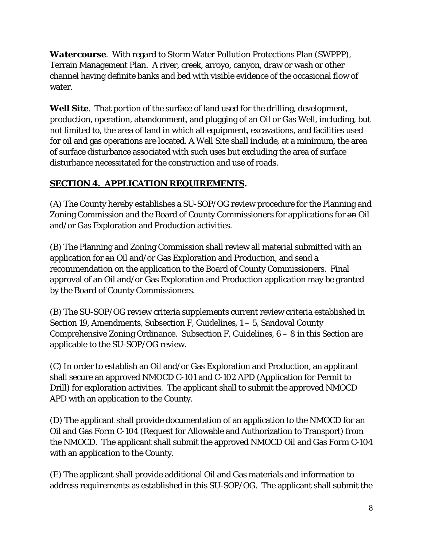*Watercourse.* With regard to Storm Water Pollution Protections Plan (SWPPP), Terrain Management Plan. A river, creek, arroyo, canyon, draw or wash or other channel having definite banks and bed with visible evidence of the occasional flow of water.

*Well Site*. That portion of the surface of land used for the drilling, development, production, operation, abandonment, and plugging of an Oil or Gas Well, including, but not limited to, the area of land in which all equipment, excavations, and facilities used for oil and gas operations are located. A Well Site shall include, at a minimum, the area of surface disturbance associated with such uses but excluding the area of surface disturbance necessitated for the construction and use of roads.

# **SECTION 4. APPLICATION REQUIREMENTS.**

(A) The County hereby establishes a SU-SOP/OG review procedure for the Planning and Zoning Commission and the Board of County Commissioners for applications for an Oil and/or Gas Exploration and Production activities.

(B) The Planning and Zoning Commission shall review all material submitted with an application for an Oil and/or Gas Exploration and Production, and send a recommendation on the application to the Board of County Commissioners. Final approval of an Oil and/or Gas Exploration and Production application may be granted by the Board of County Commissioners.

(B) The SU-SOP/OG review criteria supplements current review criteria established in Section 19, Amendments, Subsection F, Guidelines, 1 – 5, Sandoval County Comprehensive Zoning Ordinance. Subsection F, Guidelines,  $6 - 8$  in this Section are applicable to the SU-SOP/OG review.

(C) In order to establish an Oil and/or Gas Exploration and Production, an applicant shall secure an approved NMOCD C-101 and C-102 APD (Application for Permit to Drill) for exploration activities. The applicant shall to submit the approved NMOCD APD with an application to the County.

(D) The applicant shall provide documentation of an application to the NMOCD for an Oil and Gas Form C-104 (Request for Allowable and Authorization to Transport) from the NMOCD. The applicant shall submit the approved NMOCD Oil and Gas Form C-104 with an application to the County.

(E) The applicant shall provide additional Oil and Gas materials and information to address requirements as established in this SU-SOP/OG. The applicant shall submit the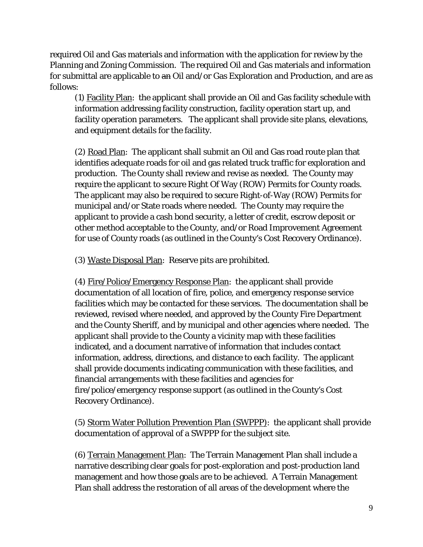required Oil and Gas materials and information with the application for review by the Planning and Zoning Commission. The required Oil and Gas materials and information for submittal are applicable to an Oil and/or Gas Exploration and Production, and are as follows:

(1) Facility Plan: the applicant shall provide an Oil and Gas facility schedule with information addressing facility construction, facility operation start up, and facility operation parameters. The applicant shall provide site plans, elevations, and equipment details for the facility.

(2) Road Plan: The applicant shall submit an Oil and Gas road route plan that identifies adequate roads for oil and gas related truck traffic for exploration and production. The County shall review and revise as needed. The County may require the applicant to secure Right Of Way (ROW) Permits for County roads. The applicant may also be required to secure Right-of-Way (ROW) Permits for municipal and/or State roads where needed. The County may require the applicant to provide a cash bond security, a letter of credit, escrow deposit or other method acceptable to the County, and/or Road Improvement Agreement for use of County roads (as outlined in the County's Cost Recovery Ordinance).

(3) Waste Disposal Plan: Reserve pits are prohibited.

(4) Fire/Police/Emergency Response Plan: the applicant shall provide documentation of all location of fire, police, and emergency response service facilities which may be contacted for these services. The documentation shall be reviewed, revised where needed, and approved by the County Fire Department and the County Sheriff, and by municipal and other agencies where needed. The applicant shall provide to the County a vicinity map with these facilities indicated, and a document narrative of information that includes contact information, address, directions, and distance to each facility. The applicant shall provide documents indicating communication with these facilities, and financial arrangements with these facilities and agencies for fire/police/emergency response support (as outlined in the County's Cost Recovery Ordinance).

(5) Storm Water Pollution Prevention Plan (SWPPP): the applicant shall provide documentation of approval of a SWPPP for the subject site.

(6) Terrain Management Plan: The Terrain Management Plan shall include a narrative describing clear goals for post-exploration and post-production land management and how those goals are to be achieved. A Terrain Management Plan shall address the restoration of all areas of the development where the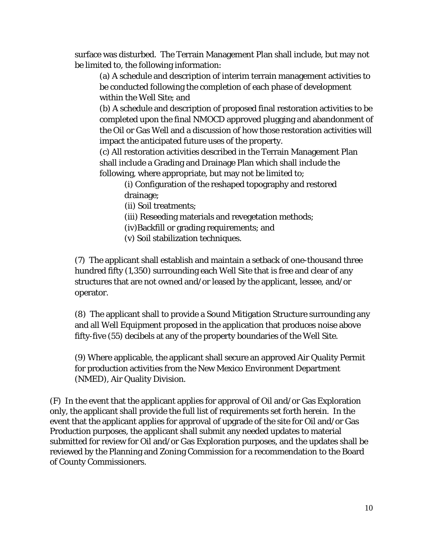surface was disturbed. The Terrain Management Plan shall include, but may not be limited to, the following information:

(a) A schedule and description of interim terrain management activities to be conducted following the completion of each phase of development within the Well Site; and

(b) A schedule and description of proposed final restoration activities to be completed upon the final NMOCD approved plugging and abandonment of the Oil or Gas Well and a discussion of how those restoration activities will impact the anticipated future uses of the property.

(c) All restoration activities described in the Terrain Management Plan shall include a Grading and Drainage Plan which shall include the following, where appropriate, but may not be limited to;

(i) Configuration of the reshaped topography and restored drainage;

(ii) Soil treatments;

(iii) Reseeding materials and revegetation methods;

(iv)Backfill or grading requirements; and

(v) Soil stabilization techniques.

(7) The applicant shall establish and maintain a setback of one-thousand three hundred fifty (1,350) surrounding each Well Site that is free and clear of any structures that are not owned and/or leased by the applicant, lessee, and/or operator.

(8) The applicant shall to provide a Sound Mitigation Structure surrounding any and all Well Equipment proposed in the application that produces noise above fifty-five (55) decibels at any of the property boundaries of the Well Site.

(9) Where applicable, the applicant shall secure an approved Air Quality Permit for production activities from the New Mexico Environment Department (NMED), Air Quality Division.

(F) In the event that the applicant applies for approval of Oil and/or Gas Exploration only, the applicant shall provide the full list of requirements set forth herein. In the event that the applicant applies for approval of upgrade of the site for Oil and/or Gas Production purposes, the applicant shall submit any needed updates to material submitted for review for Oil and/or Gas Exploration purposes, and the updates shall be reviewed by the Planning and Zoning Commission for a recommendation to the Board of County Commissioners.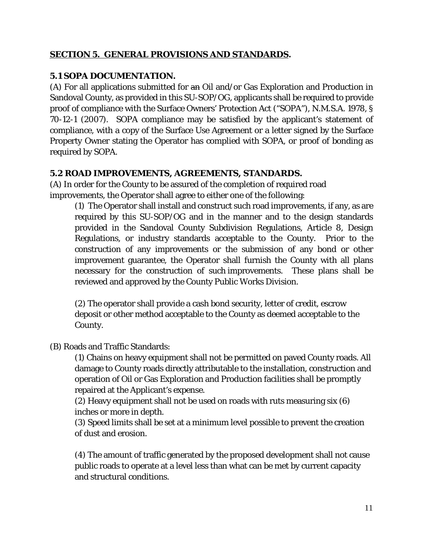## **SECTION 5. GENERAL PROVISIONS AND STANDARDS.**

### **5.1 SOPA DOCUMENTATION.**

(A) For all applications submitted for an Oil and/or Gas Exploration and Production in Sandoval County, as provided in this SU-SOP/OG, applicants shall be required to provide proof of compliance with the Surface Owners' Protection Act ("SOPA"), N.M.S.A. 1978, § 70-12-1 (2007). SOPA compliance may be satisfied by the applicant's statement of compliance, with a copy of the Surface Use Agreement or a letter signed by the Surface Property Owner stating the Operator has complied with SOPA, or proof of bonding as required by SOPA.

## **5.2 ROAD IMPROVEMENTS, AGREEMENTS, STANDARDS.**

(A) In order for the County to be assured of the completion of required road improvements, the Operator shall agree to either one of the following:

(1) The Operator shall install and construct such road improvements, if any, as are required by this SU-SOP/OG and in the manner and to the design standards provided in the Sandoval County Subdivision Regulations, Article 8, Design Regulations, or industry standards acceptable to the County. Prior to the construction of any improvements or the submission of any bond or other improvement guarantee, the Operator shall furnish the County with all plans necessary for the construction of such improvements. These plans shall be reviewed and approved by the County Public Works Division.

(2) The operator shall provide a cash bond security, letter of credit, escrow deposit or other method acceptable to the County as deemed acceptable to the County.

#### (B) Roads and Traffic Standards:

(1) Chains on heavy equipment shall not be permitted on paved County roads. All damage to County roads directly attributable to the installation, construction and operation of Oil or Gas Exploration and Production facilities shall be promptly repaired at the Applicant's expense.

(2) Heavy equipment shall not be used on roads with ruts measuring six (6) inches or more in depth.

(3) Speed limits shall be set at a minimum level possible to prevent the creation of dust and erosion.

(4) The amount of traffic generated by the proposed development shall not cause public roads to operate at a level less than what can be met by current capacity and structural conditions.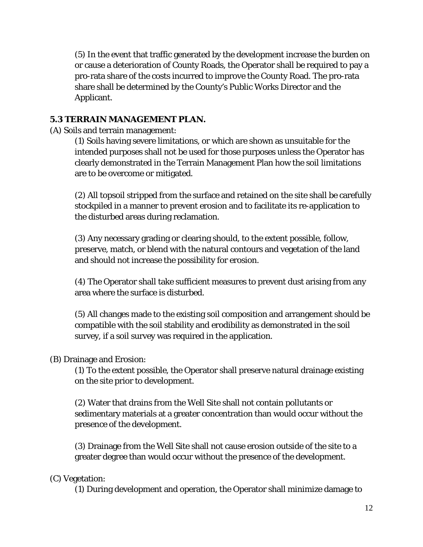(5) In the event that traffic generated by the development increase the burden on or cause a deterioration of County Roads, the Operator shall be required to pay a pro-rata share of the costs incurred to improve the County Road. The pro-rata share shall be determined by the County's Public Works Director and the Applicant.

## **5.3 TERRAIN MANAGEMENT PLAN.**

(A) Soils and terrain management:

(1) Soils having severe limitations, or which are shown as unsuitable for the intended purposes shall not be used for those purposes unless the Operator has clearly demonstrated in the Terrain Management Plan how the soil limitations are to be overcome or mitigated.

(2) All topsoil stripped from the surface and retained on the site shall be carefully stockpiled in a manner to prevent erosion and to facilitate its re-application to the disturbed areas during reclamation.

(3) Any necessary grading or clearing should, to the extent possible, follow, preserve, match, or blend with the natural contours and vegetation of the land and should not increase the possibility for erosion.

(4) The Operator shall take sufficient measures to prevent dust arising from any area where the surface is disturbed.

(5) All changes made to the existing soil composition and arrangement should be compatible with the soil stability and erodibility as demonstrated in the soil survey, if a soil survey was required in the application.

#### (B) Drainage and Erosion:

(1) To the extent possible, the Operator shall preserve natural drainage existing on the site prior to development.

(2) Water that drains from the Well Site shall not contain pollutants or sedimentary materials at a greater concentration than would occur without the presence of the development.

(3) Drainage from the Well Site shall not cause erosion outside of the site to a greater degree than would occur without the presence of the development.

#### (C) Vegetation:

(1) During development and operation, the Operator shall minimize damage to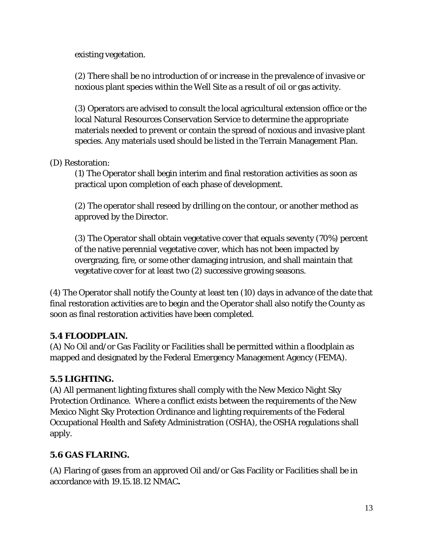existing vegetation.

(2) There shall be no introduction of or increase in the prevalence of invasive or noxious plant species within the Well Site as a result of oil or gas activity.

(3) Operators are advised to consult the local agricultural extension office or the local Natural Resources Conservation Service to determine the appropriate materials needed to prevent or contain the spread of noxious and invasive plant species. Any materials used should be listed in the Terrain Management Plan.

# (D) Restoration:

(1) The Operator shall begin interim and final restoration activities as soon as practical upon completion of each phase of development.

(2) The operator shall reseed by drilling on the contour, or another method as approved by the Director.

(3) The Operator shall obtain vegetative cover that equals seventy (70%) percent of the native perennial vegetative cover, which has not been impacted by overgrazing, fire, or some other damaging intrusion, and shall maintain that vegetative cover for at least two (2) successive growing seasons.

(4) The Operator shall notify the County at least ten (10) days in advance of the date that final restoration activities are to begin and the Operator shall also notify the County as soon as final restoration activities have been completed.

# **5.4 FLOODPLAIN.**

(A) No Oil and/or Gas Facility or Facilities shall be permitted within a floodplain as mapped and designated by the Federal Emergency Management Agency (FEMA).

# **5.5 LIGHTING.**

(A) All permanent lighting fixtures shall comply with the New Mexico Night Sky Protection Ordinance. Where a conflict exists between the requirements of the New Mexico Night Sky Protection Ordinance and lighting requirements of the Federal Occupational Health and Safety Administration (OSHA), the OSHA regulations shall apply.

# **5.6 GAS FLARING.**

(A) Flaring of gases from an approved Oil and/or Gas Facility or Facilities shall be in accordance with 19.15.18.12 NMAC**.**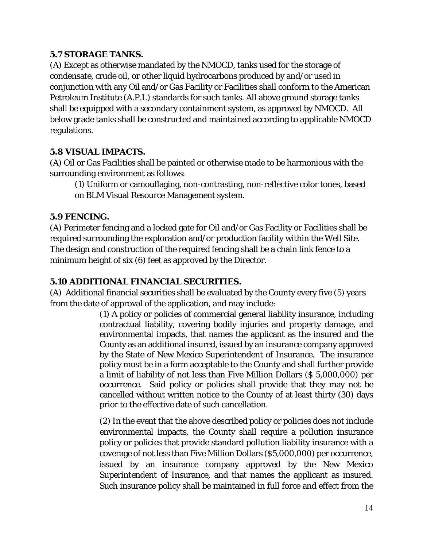## **5.7 STORAGE TANKS.**

(A) Except as otherwise mandated by the NMOCD, tanks used for the storage of condensate, crude oil, or other liquid hydrocarbons produced by and/or used in conjunction with any Oil and/or Gas Facility or Facilities shall conform to the American Petroleum Institute (A.P.I.) standards for such tanks. All above ground storage tanks shall be equipped with a secondary containment system, as approved by NMOCD. All below grade tanks shall be constructed and maintained according to applicable NMOCD regulations.

## **5.8 VISUAL IMPACTS.**

(A) Oil or Gas Facilities shall be painted or otherwise made to be harmonious with the surrounding environment as follows:

(1) Uniform or camouflaging, non-contrasting, non-reflective color tones, based on BLM Visual Resource Management system.

## **5.9 FENCING.**

(A) Perimeter fencing and a locked gate for Oil and/or Gas Facility or Facilities shall be required surrounding the exploration and/or production facility within the Well Site. The design and construction of the required fencing shall be a chain link fence to a minimum height of six (6) feet as approved by the Director.

# **5.10 ADDITIONAL FINANCIAL SECURITIES.**

(A) Additional financial securities shall be evaluated by the County every five (5) years from the date of approval of the application, and may include:

(1) A policy or policies of commercial general liability insurance, including contractual liability, covering bodily injuries and property damage, and environmental impacts, that names the applicant as the insured and the County as an additional insured, issued by an insurance company approved by the State of New Mexico Superintendent of Insurance. The insurance policy must be in a form acceptable to the County and shall further provide a limit of liability of not less than Five Million Dollars (\$ 5,000,000) per occurrence. Said policy or policies shall provide that they may not be cancelled without written notice to the County of at least thirty (30) days prior to the effective date of such cancellation.

(2) In the event that the above described policy or policies does not include environmental impacts, the County shall require a pollution insurance policy or policies that provide standard pollution liability insurance with a coverage of not less than Five Million Dollars (\$5,000,000) per occurrence, issued by an insurance company approved by the New Mexico Superintendent of Insurance, and that names the applicant as insured. Such insurance policy shall be maintained in full force and effect from the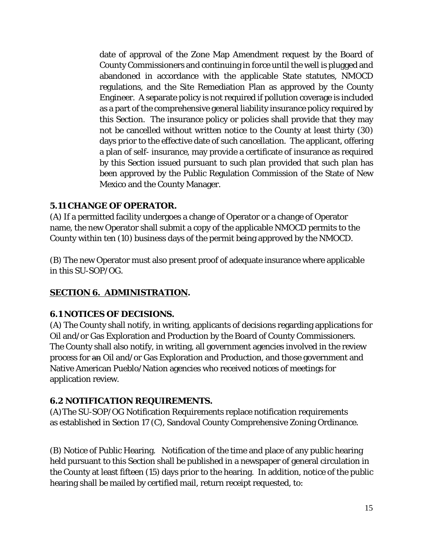date of approval of the Zone Map Amendment request by the Board of County Commissioners and continuing in force until the well is plugged and abandoned in accordance with the applicable State statutes, NMOCD regulations, and the Site Remediation Plan as approved by the County Engineer. A separate policy is not required if pollution coverage is included as a part of the comprehensive general liability insurance policy required by this Section. The insurance policy or policies shall provide that they may not be cancelled without written notice to the County at least thirty (30) days prior to the effective date of such cancellation. The applicant, offering a plan of self- insurance, may provide a certificate of insurance as required by this Section issued pursuant to such plan provided that such plan has been approved by the Public Regulation Commission of the State of New Mexico and the County Manager.

## **5.11 CHANGE OF OPERATOR.**

(A) If a permitted facility undergoes a change of Operator or a change of Operator name, the new Operator shall submit a copy of the applicable NMOCD permits to the County within ten (10) business days of the permit being approved by the NMOCD.

(B) The new Operator must also present proof of adequate insurance where applicable in this SU-SOP/OG.

# **SECTION 6. ADMINISTRATION.**

#### **6.1 NOTICES OF DECISIONS.**

(A) The County shall notify, in writing, applicants of decisions regarding applications for Oil and/or Gas Exploration and Production by the Board of County Commissioners. The County shall also notify, in writing, all government agencies involved in the review process for an Oil and/or Gas Exploration and Production, and those government and Native American Pueblo/Nation agencies who received notices of meetings for application review.

#### **6.2 NOTIFICATION REQUIREMENTS.**

(A)The SU-SOP/OG Notification Requirements replace notification requirements as established in Section 17 (C), Sandoval County Comprehensive Zoning Ordinance.

(B) Notice of Public Hearing. Notification of the time and place of any public hearing held pursuant to this Section shall be published in a newspaper of general circulation in the County at least fifteen (15) days prior to the hearing. In addition, notice of the public hearing shall be mailed by certified mail, return receipt requested, to: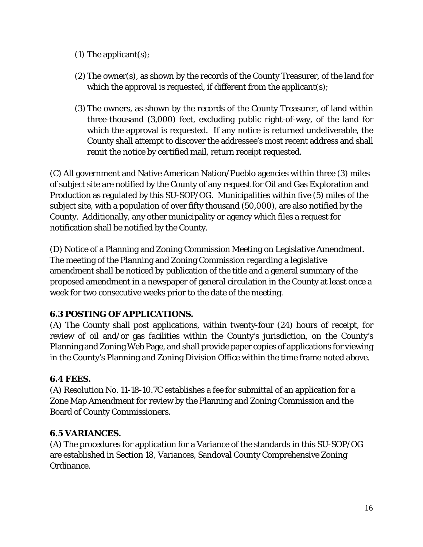- (1) The applicant $(s)$ ;
- (2) The owner(s), as shown by the records of the County Treasurer, of the land for which the approval is requested, if different from the applicant(s);
- (3) The owners, as shown by the records of the County Treasurer, of land within three-thousand (3,000) feet, excluding public right-of-way, of the land for which the approval is requested. If any notice is returned undeliverable, the County shall attempt to discover the addressee's most recent address and shall remit the notice by certified mail, return receipt requested.

(C) All government and Native American Nation/Pueblo agencies within three (3) miles of subject site are notified by the County of any request for Oil and Gas Exploration and Production as regulated by this SU-SOP/OG. Municipalities within five (5) miles of the subject site, with a population of over fifty thousand (50,000), are also notified by the County. Additionally, any other municipality or agency which files a request for notification shall be notified by the County.

(D) Notice of a Planning and Zoning Commission Meeting on Legislative Amendment. The meeting of the Planning and Zoning Commission regarding a legislative amendment shall be noticed by publication of the title and a general summary of the proposed amendment in a newspaper of general circulation in the County at least once a week for two consecutive weeks prior to the date of the meeting.

# **6.3 POSTING OF APPLICATIONS.**

(A) The County shall post applications, within twenty-four (24) hours of receipt, for review of oil and/or gas facilities within the County's jurisdiction, on the County's Planning and Zoning Web Page, and shall provide paper copies of applications for viewing in the County's Planning and Zoning Division Office within the time frame noted above.

#### **6.4 FEES.**

(A) Resolution No. 11-18-10.7C establishes a fee for submittal of an application for a Zone Map Amendment for review by the Planning and Zoning Commission and the Board of County Commissioners.

#### **6.5 VARIANCES.**

(A) The procedures for application for a Variance of the standards in this SU-SOP/OG are established in Section 18, Variances, Sandoval County Comprehensive Zoning Ordinance.